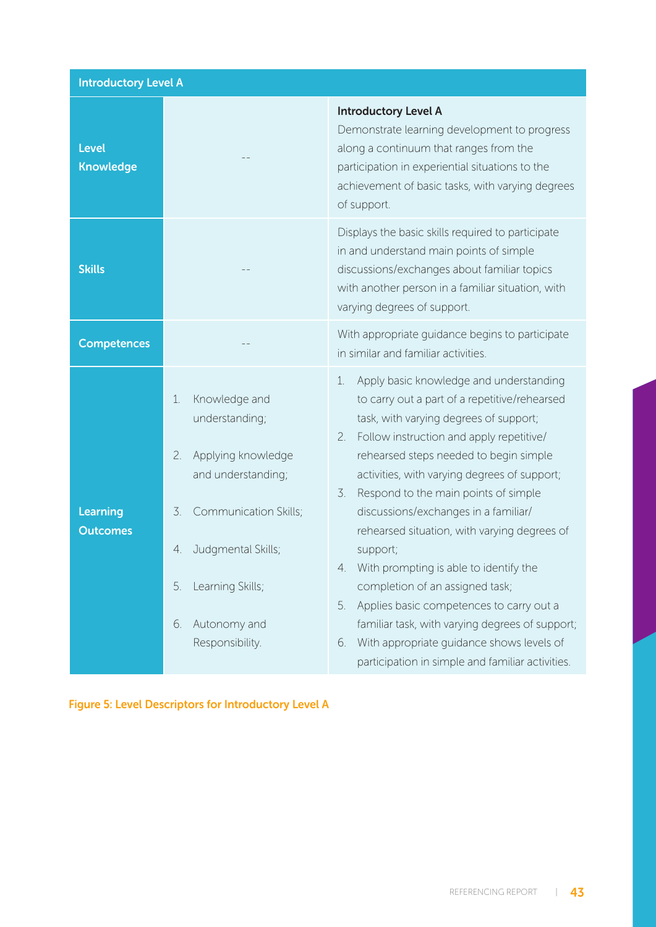| <b>Introductory Level A</b>        |                                                                                                                                                                                                                       |                                                                                                                                                                                                                                                                                                                                                                                                                                                                                                                                                                                                                                                                                                                                 |  |
|------------------------------------|-----------------------------------------------------------------------------------------------------------------------------------------------------------------------------------------------------------------------|---------------------------------------------------------------------------------------------------------------------------------------------------------------------------------------------------------------------------------------------------------------------------------------------------------------------------------------------------------------------------------------------------------------------------------------------------------------------------------------------------------------------------------------------------------------------------------------------------------------------------------------------------------------------------------------------------------------------------------|--|
| <b>Level</b><br><b>Knowledge</b>   |                                                                                                                                                                                                                       | <b>Introductory Level A</b><br>Demonstrate learning development to progress<br>along a continuum that ranges from the<br>participation in experiential situations to the<br>achievement of basic tasks, with varying degrees<br>of support.                                                                                                                                                                                                                                                                                                                                                                                                                                                                                     |  |
| <b>Skills</b>                      |                                                                                                                                                                                                                       | Displays the basic skills required to participate<br>in and understand main points of simple<br>discussions/exchanges about familiar topics<br>with another person in a familiar situation, with<br>varying degrees of support.                                                                                                                                                                                                                                                                                                                                                                                                                                                                                                 |  |
| <b>Competences</b>                 |                                                                                                                                                                                                                       | With appropriate guidance begins to participate<br>in similar and familiar activities.                                                                                                                                                                                                                                                                                                                                                                                                                                                                                                                                                                                                                                          |  |
| <b>Learning</b><br><b>Outcomes</b> | Knowledge and<br>1.<br>understanding;<br>2.<br>Applying knowledge<br>and understanding;<br>3.<br>Communication Skills;<br>Judgmental Skills;<br>4.<br>Learning Skills;<br>5.<br>Autonomy and<br>6.<br>Responsibility. | Apply basic knowledge and understanding<br>1.<br>to carry out a part of a repetitive/rehearsed<br>task, with varying degrees of support;<br>Follow instruction and apply repetitive/<br>2.<br>rehearsed steps needed to begin simple<br>activities, with varying degrees of support;<br>Respond to the main points of simple<br>3.<br>discussions/exchanges in a familiar/<br>rehearsed situation, with varying degrees of<br>support;<br>With prompting is able to identify the<br>completion of an assigned task;<br>Applies basic competences to carry out a<br>5.<br>familiar task, with varying degrees of support;<br>With appropriate guidance shows levels of<br>6.<br>participation in simple and familiar activities. |  |

Figure 5: Level Descriptors for Introductory Level A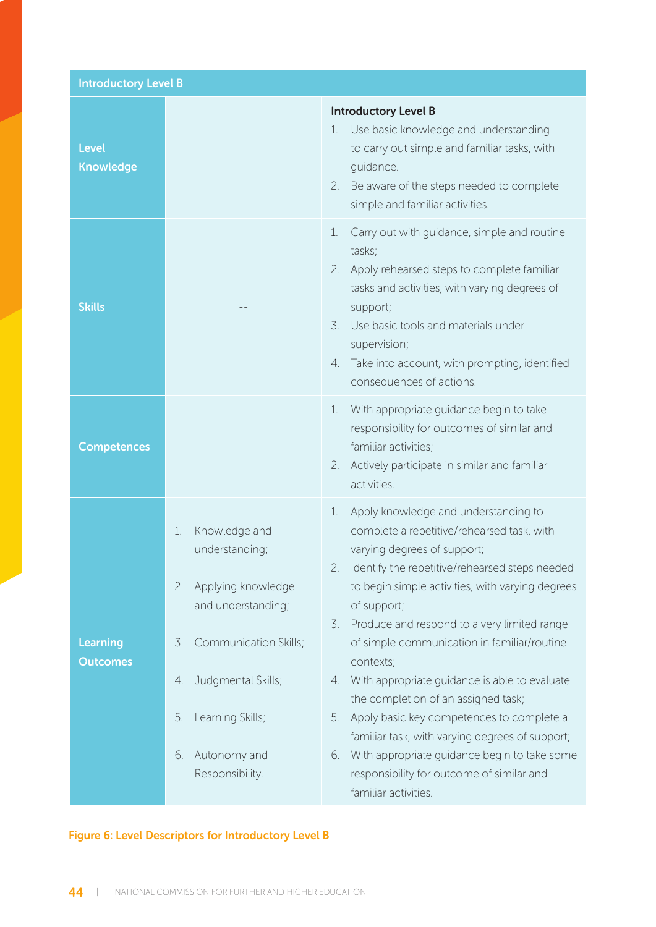| <b>Introductory Level B</b>      |                                                                                                                                                                                                                       |                                                                                                                                                                                                                                                                                                                                                                                                                                                                                                                                                                                                                                                                                                 |
|----------------------------------|-----------------------------------------------------------------------------------------------------------------------------------------------------------------------------------------------------------------------|-------------------------------------------------------------------------------------------------------------------------------------------------------------------------------------------------------------------------------------------------------------------------------------------------------------------------------------------------------------------------------------------------------------------------------------------------------------------------------------------------------------------------------------------------------------------------------------------------------------------------------------------------------------------------------------------------|
| <b>Level</b><br><b>Knowledge</b> |                                                                                                                                                                                                                       | <b>Introductory Level B</b><br>Use basic knowledge and understanding<br>1.<br>to carry out simple and familiar tasks, with<br>quidance.<br>Be aware of the steps needed to complete<br>2.<br>simple and familiar activities.                                                                                                                                                                                                                                                                                                                                                                                                                                                                    |
| <b>Skills</b>                    |                                                                                                                                                                                                                       | Carry out with guidance, simple and routine<br>1.<br>tasks;<br>Apply rehearsed steps to complete familiar<br>2.<br>tasks and activities, with varying degrees of<br>support;<br>Use basic tools and materials under<br>$\mathcal{Z}$ .<br>supervision;<br>Take into account, with prompting, identified<br>4.<br>consequences of actions.                                                                                                                                                                                                                                                                                                                                                       |
| <b>Competences</b>               |                                                                                                                                                                                                                       | With appropriate guidance begin to take<br>1.<br>responsibility for outcomes of similar and<br>familiar activities;<br>Actively participate in similar and familiar<br>2.<br>activities.                                                                                                                                                                                                                                                                                                                                                                                                                                                                                                        |
| Learning<br><b>Outcomes</b>      | Knowledge and<br>1.<br>understanding;<br>Applying knowledge<br>2.<br>and understanding;<br>Communication Skills;<br>3.<br>Judgmental Skills;<br>4.<br>5.<br>Learning Skills;<br>Autonomy and<br>6.<br>Responsibility. | Apply knowledge and understanding to<br>1.<br>complete a repetitive/rehearsed task, with<br>varying degrees of support;<br>2. Identify the repetitive/rehearsed steps needed<br>to begin simple activities, with varying degrees<br>of support;<br>Produce and respond to a very limited range<br>3.<br>of simple communication in familiar/routine<br>contexts;<br>With appropriate guidance is able to evaluate<br>4.<br>the completion of an assigned task;<br>Apply basic key competences to complete a<br>5.<br>familiar task, with varying degrees of support;<br>With appropriate guidance begin to take some<br>6.<br>responsibility for outcome of similar and<br>familiar activities. |

### Figure 6: Level Descriptors for Introductory Level B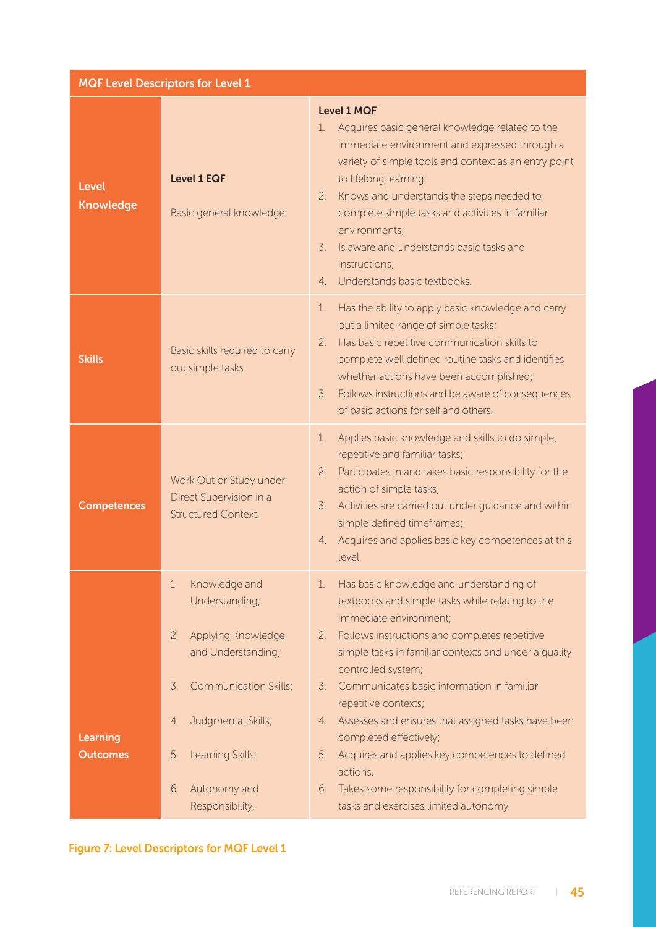| <b>MQF Level Descriptors for Level 1</b> |                                                                                                                                                                                                                              |                                                                                                                                                                                                                                                                                                                                                                                                                                                                                                                                                                                                                           |  |
|------------------------------------------|------------------------------------------------------------------------------------------------------------------------------------------------------------------------------------------------------------------------------|---------------------------------------------------------------------------------------------------------------------------------------------------------------------------------------------------------------------------------------------------------------------------------------------------------------------------------------------------------------------------------------------------------------------------------------------------------------------------------------------------------------------------------------------------------------------------------------------------------------------------|--|
| <b>Level</b><br><b>Knowledge</b>         | <b>Level 1 EQF</b><br>Basic general knowledge;                                                                                                                                                                               | <b>Level 1 MQF</b><br>Acquires basic general knowledge related to the<br>$\mathbf{1}$ .<br>immediate environment and expressed through a<br>variety of simple tools and context as an entry point<br>to lifelong learning;<br>Knows and understands the steps needed to<br>2.<br>complete simple tasks and activities in familiar<br>environments;<br>$\overline{3}$ .<br>Is aware and understands basic tasks and<br>instructions;<br>Understands basic textbooks.<br>$\overline{4}$                                                                                                                                     |  |
| <b>Skills</b>                            | Basic skills required to carry<br>out simple tasks                                                                                                                                                                           | Has the ability to apply basic knowledge and carry<br>$\mathbf{1}$ .<br>out a limited range of simple tasks;<br>2.<br>Has basic repetitive communication skills to<br>complete well defined routine tasks and identifies<br>whether actions have been accomplished;<br>$\overline{3}$ .<br>Follows instructions and be aware of consequences<br>of basic actions for self and others.                                                                                                                                                                                                                                     |  |
| <b>Competences</b>                       | Work Out or Study under<br>Direct Supervision in a<br><b>Structured Context.</b>                                                                                                                                             | Applies basic knowledge and skills to do simple,<br>1.<br>repetitive and familiar tasks;<br>Participates in and takes basic responsibility for the<br>2.<br>action of simple tasks;<br>Activities are carried out under guidance and within<br>$\mathcal{Z}$ .<br>simple defined timeframes;<br>Acquires and applies basic key competences at this<br>4.<br>level.                                                                                                                                                                                                                                                        |  |
| Learning<br><b>Outcomes</b>              | Knowledge and<br>1.<br>Understanding;<br>Applying Knowledge<br>2.<br>and Understanding;<br><b>Communication Skills;</b><br>3.<br>Judgmental Skills;<br>4.<br>Learning Skills;<br>5.<br>Autonomy and<br>6.<br>Responsibility. | Has basic knowledge and understanding of<br>1.<br>textbooks and simple tasks while relating to the<br>immediate environment;<br>Follows instructions and completes repetitive<br>2.<br>simple tasks in familiar contexts and under a quality<br>controlled system;<br>Communicates basic information in familiar<br>$\overline{3}$ .<br>repetitive contexts;<br>Assesses and ensures that assigned tasks have been<br>4.<br>completed effectively;<br>5.<br>Acquires and applies key competences to defined<br>actions.<br>Takes some responsibility for completing simple<br>6.<br>tasks and exercises limited autonomy. |  |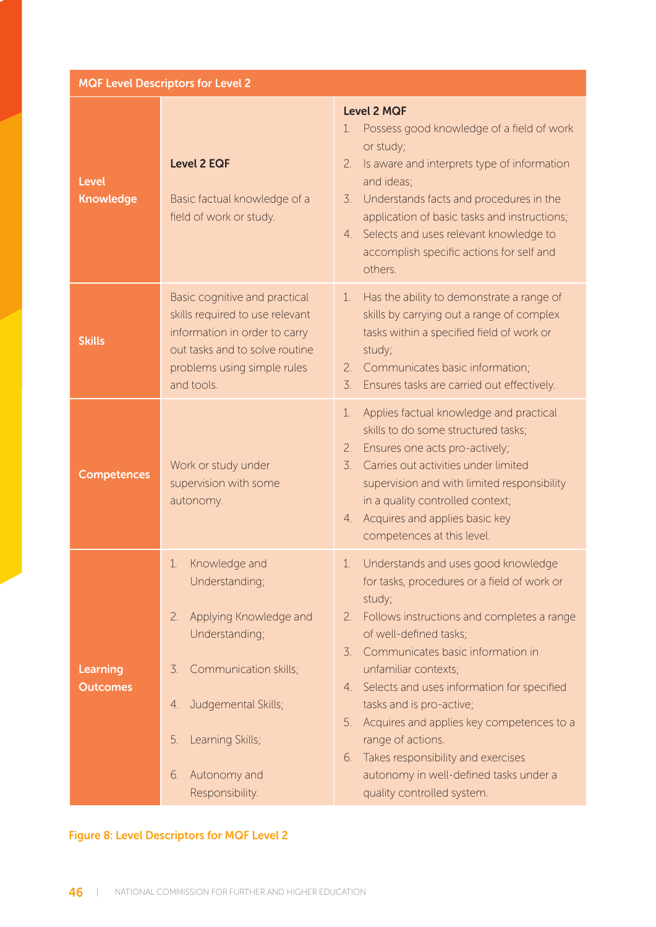| <b>MQF Level Descriptors for Level 2</b> |                                                                                                                                                                                                                                                                                                                                                                                                                                                    |                                                                                                                                                                                                                                                                                                                                                                                                                                                                                                                                 |  |
|------------------------------------------|----------------------------------------------------------------------------------------------------------------------------------------------------------------------------------------------------------------------------------------------------------------------------------------------------------------------------------------------------------------------------------------------------------------------------------------------------|---------------------------------------------------------------------------------------------------------------------------------------------------------------------------------------------------------------------------------------------------------------------------------------------------------------------------------------------------------------------------------------------------------------------------------------------------------------------------------------------------------------------------------|--|
| <b>Level</b><br><b>Knowledge</b>         | <b>Level 2 EQF</b><br>Basic factual knowledge of a<br>field of work or study.                                                                                                                                                                                                                                                                                                                                                                      | <b>Level 2 MQF</b><br>Possess good knowledge of a field of work<br>$\mathbf{1}$ .<br>or study;<br>Is aware and interprets type of information<br>2.<br>and ideas;<br>$\mathcal{Z}$ .<br>Understands facts and procedures in the<br>application of basic tasks and instructions;<br>Selects and uses relevant knowledge to<br>4.<br>accomplish specific actions for self and<br>others.                                                                                                                                          |  |
| <b>Skills</b>                            | Basic cognitive and practical<br>Has the ability to demonstrate a range of<br>1.<br>skills required to use relevant<br>skills by carrying out a range of complex<br>information in order to carry<br>tasks within a specified field of work or<br>out tasks and to solve routine<br>study;<br>problems using simple rules<br>Communicates basic information;<br>2.<br>and tools.<br>$\overline{3}$ .<br>Ensures tasks are carried out effectively. |                                                                                                                                                                                                                                                                                                                                                                                                                                                                                                                                 |  |
| <b>Competences</b>                       | Work or study under<br>supervision with some<br>autonomy.                                                                                                                                                                                                                                                                                                                                                                                          | Applies factual knowledge and practical<br>1.<br>skills to do some structured tasks;<br>Ensures one acts pro-actively;<br>2.<br>$\overline{3}$ .<br>Carries out activities under limited<br>supervision and with limited responsibility<br>in a quality controlled context;<br>Acquires and applies basic key<br>4.<br>competences at this level.                                                                                                                                                                               |  |
| Learning<br><b>Outcomes</b>              | Knowledge and<br>1.<br>Understanding;<br>Applying Knowledge and<br>2.<br>Understanding;<br>Communication skills;<br>3.<br>Judgemental Skills;<br>4.<br>Learning Skills;<br>5.<br>Autonomy and<br>6.<br>Responsibility.                                                                                                                                                                                                                             | Understands and uses good knowledge<br>ı.<br>for tasks, procedures or a field of work or<br>study;<br>Follows instructions and completes a range<br>2.<br>of well-defined tasks;<br>Communicates basic information in<br>3.<br>unfamiliar contexts;<br>Selects and uses information for specified<br>4.<br>tasks and is pro-active;<br>Acquires and applies key competences to a<br>5.<br>range of actions.<br>Takes responsibility and exercises<br>6.<br>autonomy in well-defined tasks under a<br>quality controlled system. |  |

#### Figure 8: Level Descriptors for MQF Level 2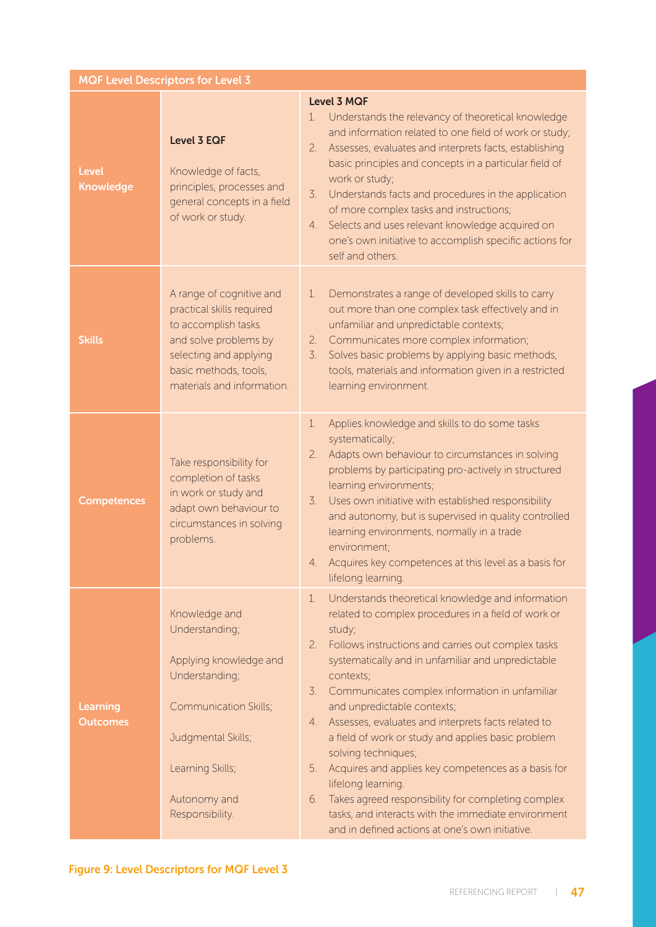|                                    | <b>MQF Level Descriptors for Level 3</b>                                                                                                                                                 |                                                                                                                                                                                                                                                                                                                                                                                                                                                                                                                                                                                                                                                                                                                                                                 |
|------------------------------------|------------------------------------------------------------------------------------------------------------------------------------------------------------------------------------------|-----------------------------------------------------------------------------------------------------------------------------------------------------------------------------------------------------------------------------------------------------------------------------------------------------------------------------------------------------------------------------------------------------------------------------------------------------------------------------------------------------------------------------------------------------------------------------------------------------------------------------------------------------------------------------------------------------------------------------------------------------------------|
| <b>Level</b><br><b>Knowledge</b>   | <b>Level 3 EQF</b><br>Knowledge of facts,<br>principles, processes and<br>general concepts in a field<br>of work or study.                                                               | <b>Level 3 MQF</b><br>Understands the relevancy of theoretical knowledge<br>1.<br>and information related to one field of work or study;<br>Assesses, evaluates and interprets facts, establishing<br>2.<br>basic principles and concepts in a particular field of<br>work or study;<br>$\overline{3}$ .<br>Understands facts and procedures in the application<br>of more complex tasks and instructions;<br>Selects and uses relevant knowledge acquired on<br>4.<br>one's own initiative to accomplish specific actions for<br>self and others.                                                                                                                                                                                                              |
| <b>Skills</b>                      | A range of cognitive and<br>practical skills required<br>to accomplish tasks<br>and solve problems by<br>selecting and applying<br>basic methods, tools,<br>materials and information.   | Demonstrates a range of developed skills to carry<br>1.<br>out more than one complex task effectively and in<br>unfamiliar and unpredictable contexts;<br>Communicates more complex information;<br>2.<br>Solves basic problems by applying basic methods,<br>3.<br>tools, materials and information given in a restricted<br>learning environment.                                                                                                                                                                                                                                                                                                                                                                                                             |
| <b>Competences</b>                 | Take responsibility for<br>completion of tasks<br>in work or study and<br>adapt own behaviour to<br>circumstances in solving<br>problems.                                                | Applies knowledge and skills to do some tasks<br>1.<br>systematically;<br>Adapts own behaviour to circumstances in solving<br>2.<br>problems by participating pro-actively in structured<br>learning environments;<br>Uses own initiative with established responsibility<br>3.<br>and autonomy, but is supervised in quality controlled<br>learning environments, normally in a trade<br>environment;<br>Acquires key competences at this level as a basis for<br>4.<br>lifelong learning.                                                                                                                                                                                                                                                                     |
| <b>Learning</b><br><b>Outcomes</b> | Knowledge and<br>Understanding;<br>Applying knowledge and<br>Understanding;<br><b>Communication Skills;</b><br>Judgmental Skills;<br>Learning Skills;<br>Autonomy and<br>Responsibility. | Understands theoretical knowledge and information<br>1.<br>related to complex procedures in a field of work or<br>study;<br>Follows instructions and carries out complex tasks<br>2.<br>systematically and in unfamiliar and unpredictable<br>contexts;<br>$\overline{3}$ .<br>Communicates complex information in unfamiliar<br>and unpredictable contexts;<br>Assesses, evaluates and interprets facts related to<br>4.<br>a field of work or study and applies basic problem<br>solving techniques;<br>Acquires and applies key competences as a basis for<br>5.<br>lifelong learning.<br>Takes agreed responsibility for completing complex<br>6.<br>tasks, and interacts with the immediate environment<br>and in defined actions at one's own initiative. |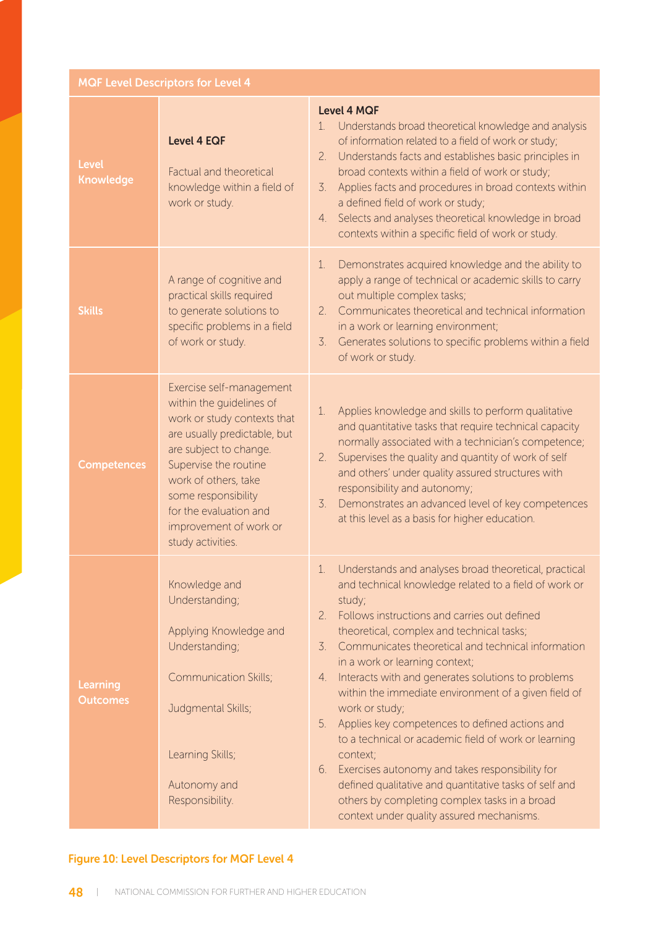| <b>MQF Level Descriptors for Level 4</b> |  |  |  |
|------------------------------------------|--|--|--|
|                                          |  |  |  |

| <b>Level</b><br><b>Knowledge</b> | <b>Level 4 EQF</b><br><b>Factual and theoretical</b><br>knowledge within a field of<br>work or study.                                                                                                                                                                                          | <b>Level 4 MQF</b><br>Understands broad theoretical knowledge and analysis<br>1.<br>of information related to a field of work or study;<br>Understands facts and establishes basic principles in<br>2.<br>broad contexts within a field of work or study;<br>Applies facts and procedures in broad contexts within<br>3.<br>a defined field of work or study;<br>Selects and analyses theoretical knowledge in broad<br>4.<br>contexts within a specific field of work or study.                                                                                                                                                                                                                                                                                                                                   |
|----------------------------------|------------------------------------------------------------------------------------------------------------------------------------------------------------------------------------------------------------------------------------------------------------------------------------------------|--------------------------------------------------------------------------------------------------------------------------------------------------------------------------------------------------------------------------------------------------------------------------------------------------------------------------------------------------------------------------------------------------------------------------------------------------------------------------------------------------------------------------------------------------------------------------------------------------------------------------------------------------------------------------------------------------------------------------------------------------------------------------------------------------------------------|
| <b>Skills</b>                    | A range of cognitive and<br>practical skills required<br>to generate solutions to<br>specific problems in a field<br>of work or study.                                                                                                                                                         | Demonstrates acquired knowledge and the ability to<br>1.<br>apply a range of technical or academic skills to carry<br>out multiple complex tasks;<br>Communicates theoretical and technical information<br>2.<br>in a work or learning environment;<br>3.<br>Generates solutions to specific problems within a field<br>of work or study.                                                                                                                                                                                                                                                                                                                                                                                                                                                                          |
| <b>Competences</b>               | Exercise self-management<br>within the guidelines of<br>work or study contexts that<br>are usually predictable, but<br>are subject to change.<br>Supervise the routine<br>work of others, take<br>some responsibility<br>for the evaluation and<br>improvement of work or<br>study activities. | Applies knowledge and skills to perform qualitative<br>$\mathbf{1}$ .<br>and quantitative tasks that require technical capacity<br>normally associated with a technician's competence;<br>Supervises the quality and quantity of work of self<br>2.<br>and others' under quality assured structures with<br>responsibility and autonomy;<br>Demonstrates an advanced level of key competences<br>$\overline{3}$ .<br>at this level as a basis for higher education.                                                                                                                                                                                                                                                                                                                                                |
| Learning<br><b>Outcomes</b>      | Knowledge and<br>Understanding;<br>Applying Knowledge and<br>Understanding;<br><b>Communication Skills;</b><br>Judgmental Skills;<br>Learning Skills;<br>Autonomy and<br>Responsibility.                                                                                                       | Understands and analyses broad theoretical, practical<br>1.<br>and technical knowledge related to a field of work or<br>study;<br>Follows instructions and carries out defined<br>2.<br>theoretical, complex and technical tasks;<br>Communicates theoretical and technical information<br>3.<br>in a work or learning context;<br>Interacts with and generates solutions to problems<br>4.<br>within the immediate environment of a given field of<br>work or study;<br>Applies key competences to defined actions and<br>5.<br>to a technical or academic field of work or learning<br>context;<br>Exercises autonomy and takes responsibility for<br>6.<br>defined qualitative and quantitative tasks of self and<br>others by completing complex tasks in a broad<br>context under quality assured mechanisms. |

# Figure 10: Level Descriptors for MQF Level 4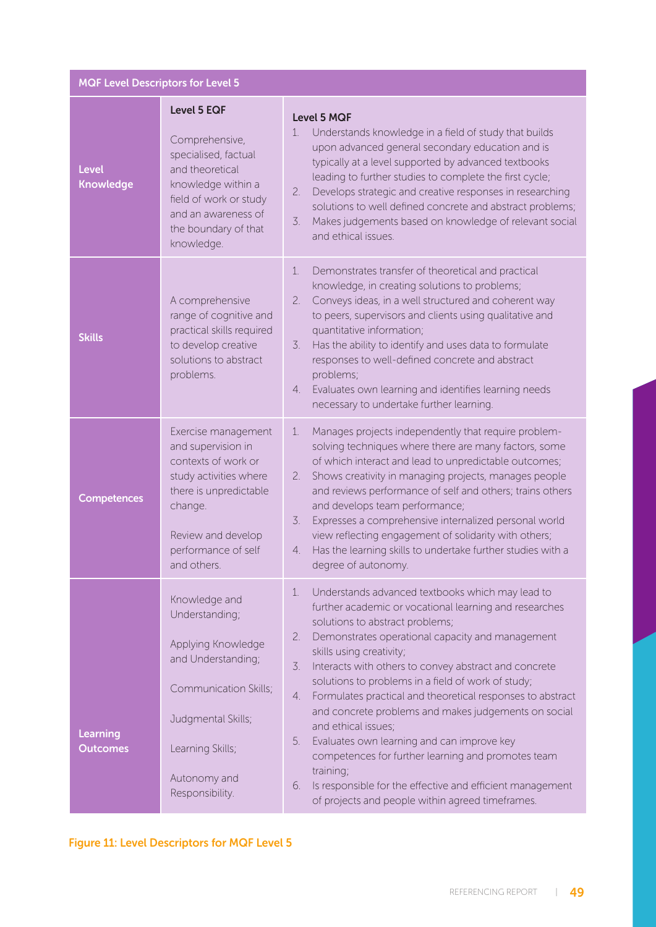|                                    | <b>MQF Level Descriptors for Level 5</b>                                                                                                                                                     |                                                                                                                                                                                                                                                                                                                                                                                                                                                                                                                                                                                                                                                                                                                                                                 |  |  |
|------------------------------------|----------------------------------------------------------------------------------------------------------------------------------------------------------------------------------------------|-----------------------------------------------------------------------------------------------------------------------------------------------------------------------------------------------------------------------------------------------------------------------------------------------------------------------------------------------------------------------------------------------------------------------------------------------------------------------------------------------------------------------------------------------------------------------------------------------------------------------------------------------------------------------------------------------------------------------------------------------------------------|--|--|
| <b>Level</b><br><b>Knowledge</b>   | <b>Level 5 EQF</b><br>Comprehensive,<br>specialised, factual<br>and theoretical<br>knowledge within a<br>field of work or study<br>and an awareness of<br>the boundary of that<br>knowledge. | <b>Level 5 MQF</b><br>Understands knowledge in a field of study that builds<br>1.<br>upon advanced general secondary education and is<br>typically at a level supported by advanced textbooks<br>leading to further studies to complete the first cycle;<br>Develops strategic and creative responses in researching<br>2.<br>solutions to well defined concrete and abstract problems;<br>Makes judgements based on knowledge of relevant social<br>3.<br>and ethical issues.                                                                                                                                                                                                                                                                                  |  |  |
| <b>Skills</b>                      | A comprehensive<br>range of cognitive and<br>practical skills required<br>to develop creative<br>solutions to abstract<br>problems.                                                          | Demonstrates transfer of theoretical and practical<br>1.<br>knowledge, in creating solutions to problems;<br>Conveys ideas, in a well structured and coherent way<br>2.<br>to peers, supervisors and clients using qualitative and<br>quantitative information;<br>Has the ability to identify and uses data to formulate<br>3.<br>responses to well-defined concrete and abstract<br>problems;<br>Evaluates own learning and identifies learning needs<br>4.<br>necessary to undertake further learning.                                                                                                                                                                                                                                                       |  |  |
| <b>Competences</b>                 | Exercise management<br>and supervision in<br>contexts of work or<br>study activities where<br>there is unpredictable<br>change.<br>Review and develop<br>performance of self<br>and others.  | Manages projects independently that require problem-<br>1.<br>solving techniques where there are many factors, some<br>of which interact and lead to unpredictable outcomes;<br>Shows creativity in managing projects, manages people<br>2.<br>and reviews performance of self and others; trains others<br>and develops team performance;<br>3.<br>Expresses a comprehensive internalized personal world<br>view reflecting engagement of solidarity with others;<br>Has the learning skills to undertake further studies with a<br>4.<br>degree of autonomy.                                                                                                                                                                                                  |  |  |
| <b>Learning</b><br><b>Outcomes</b> | Knowledge and<br>Understanding;<br>Applying Knowledge<br>and Understanding;<br>Communication Skills;<br>Judgmental Skills;<br>Learning Skills;<br>Autonomy and<br>Responsibility.            | Understands advanced textbooks which may lead to<br>1.<br>further academic or vocational learning and researches<br>solutions to abstract problems;<br>Demonstrates operational capacity and management<br>2.<br>skills using creativity;<br>Interacts with others to convey abstract and concrete<br>3.<br>solutions to problems in a field of work of study;<br>Formulates practical and theoretical responses to abstract<br>4.<br>and concrete problems and makes judgements on social<br>and ethical issues;<br>Evaluates own learning and can improve key<br>5.<br>competences for further learning and promotes team<br>training;<br>Is responsible for the effective and efficient management<br>6.<br>of projects and people within agreed timeframes. |  |  |

# Figure 11: Level Descriptors for MQF Level 5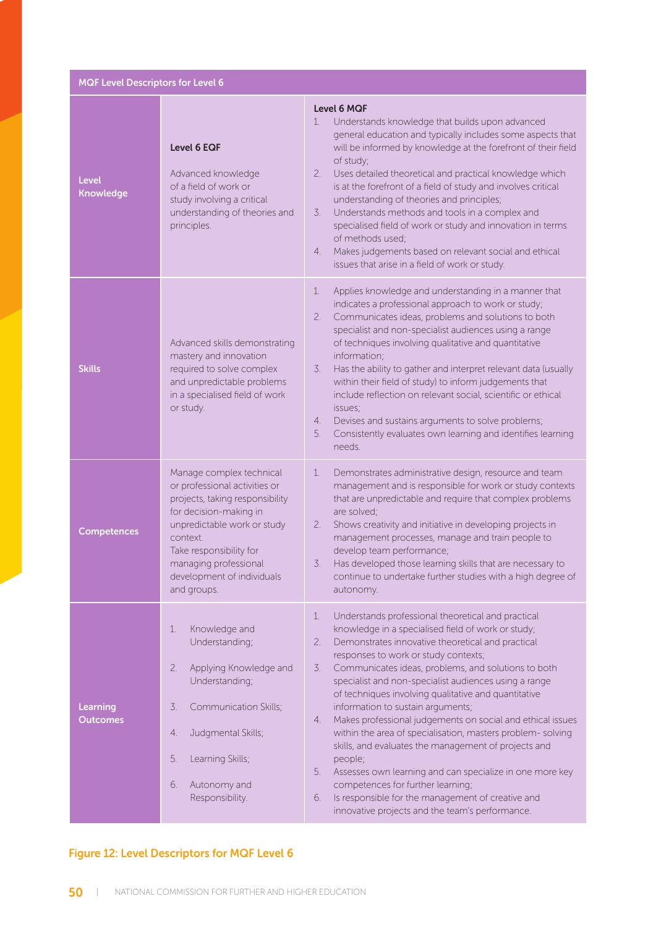MQF Level Descriptors for Level 6

| <b>Level</b><br><b>Knowledge</b> | Level 6 EQF<br>Advanced knowledge<br>of a field of work or<br>study involving a critical<br>understanding of theories and<br>principles.                                                                                                                           | <b>Level 6 MQF</b><br>Understands knowledge that builds upon advanced<br>$\mathbf{1}$ .<br>general education and typically includes some aspects that<br>will be informed by knowledge at the forefront of their field<br>of study;<br>2.<br>Uses detailed theoretical and practical knowledge which<br>is at the forefront of a field of study and involves critical<br>understanding of theories and principles;<br>Understands methods and tools in a complex and<br>3.<br>specialised field of work or study and innovation in terms<br>of methods used;<br>Makes judgements based on relevant social and ethical<br>4.<br>issues that arise in a field of work or study.                                                                                                                                                                                               |  |  |
|----------------------------------|--------------------------------------------------------------------------------------------------------------------------------------------------------------------------------------------------------------------------------------------------------------------|-----------------------------------------------------------------------------------------------------------------------------------------------------------------------------------------------------------------------------------------------------------------------------------------------------------------------------------------------------------------------------------------------------------------------------------------------------------------------------------------------------------------------------------------------------------------------------------------------------------------------------------------------------------------------------------------------------------------------------------------------------------------------------------------------------------------------------------------------------------------------------|--|--|
| <b>Skills</b>                    | Advanced skills demonstrating<br>mastery and innovation<br>required to solve complex<br>and unpredictable problems<br>in a specialised field of work<br>or study.                                                                                                  | Applies knowledge and understanding in a manner that<br>1.<br>indicates a professional approach to work or study;<br>Communicates ideas, problems and solutions to both<br>2.<br>specialist and non-specialist audiences using a range<br>of techniques involving qualitative and quantitative<br>information;<br>3.<br>Has the ability to gather and interpret relevant data (usually<br>within their field of study) to inform judgements that<br>include reflection on relevant social, scientific or ethical<br>issues;<br>Devises and sustains arguments to solve problems;<br>4.<br>Consistently evaluates own learning and identifies learning<br>5.<br>needs.                                                                                                                                                                                                       |  |  |
| <b>Competences</b>               | Manage complex technical<br>or professional activities or<br>projects, taking responsibility<br>for decision-making in<br>unpredictable work or study<br>context.<br>Take responsibility for<br>managing professional<br>development of individuals<br>and groups. | Demonstrates administrative design, resource and team<br>1.<br>management and is responsible for work or study contexts<br>that are unpredictable and require that complex problems<br>are solved;<br>Shows creativity and initiative in developing projects in<br>2.<br>management processes, manage and train people to<br>develop team performance;<br>Has developed those learning skills that are necessary to<br>3.<br>continue to undertake further studies with a high degree of<br>autonomy.                                                                                                                                                                                                                                                                                                                                                                       |  |  |
| Learning<br><b>Outcomes</b>      | 1.<br>Knowledge and<br>Understanding;<br>2.<br>Applying Knowledge and<br>Understanding;<br>3.<br>Communication Skills;<br>Judgmental Skills;<br>4.<br>5.<br>Learning Skills;<br>6.<br>Autonomy and<br>Responsibility.                                              | Understands professional theoretical and practical<br>1.<br>knowledge in a specialised field of work or study;<br>Demonstrates innovative theoretical and practical<br>2.<br>responses to work or study contexts;<br>Communicates ideas, problems, and solutions to both<br>$\mathcal{Z}$ .<br>specialist and non-specialist audiences using a range<br>of techniques involving qualitative and quantitative<br>information to sustain arguments;<br>Makes professional judgements on social and ethical issues<br>4.<br>within the area of specialisation, masters problem-solving<br>skills, and evaluates the management of projects and<br>people;<br>5.<br>Assesses own learning and can specialize in one more key<br>competences for further learning;<br>Is responsible for the management of creative and<br>6.<br>innovative projects and the team's performance. |  |  |

#### Figure 12: Level Descriptors for MQF Level 6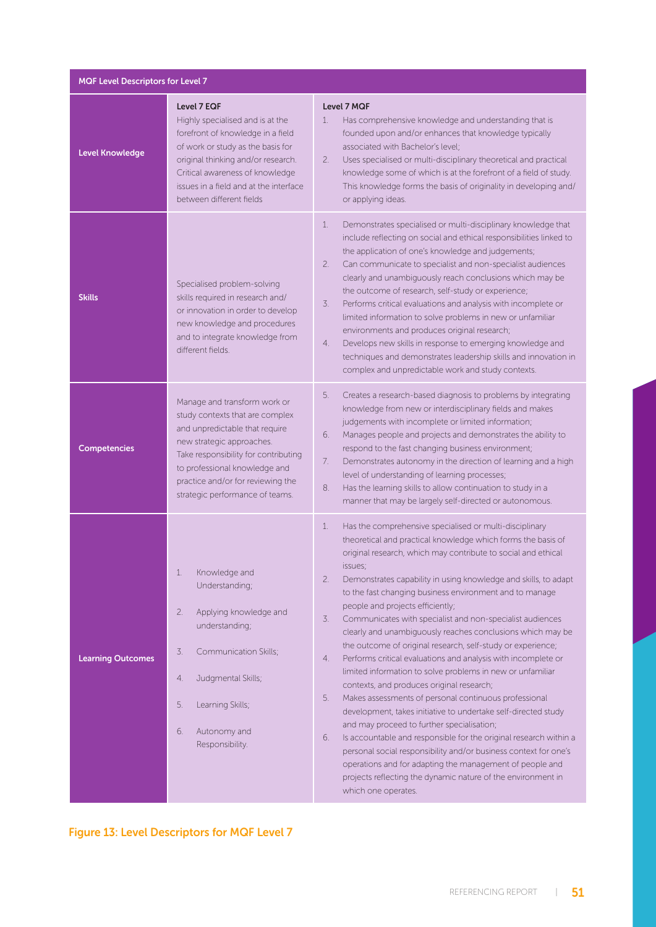| MQF Level Descriptors for Level 7 |                                                                                                                                                                                                                                                                                 |                                                                                                                                                                                                                                                                                                                                                                                                                                                                                                                                                                                                                                                                                                                                                                                                                                                                                                                                                                                                                                                                                                                                                                                                                                                      |  |
|-----------------------------------|---------------------------------------------------------------------------------------------------------------------------------------------------------------------------------------------------------------------------------------------------------------------------------|------------------------------------------------------------------------------------------------------------------------------------------------------------------------------------------------------------------------------------------------------------------------------------------------------------------------------------------------------------------------------------------------------------------------------------------------------------------------------------------------------------------------------------------------------------------------------------------------------------------------------------------------------------------------------------------------------------------------------------------------------------------------------------------------------------------------------------------------------------------------------------------------------------------------------------------------------------------------------------------------------------------------------------------------------------------------------------------------------------------------------------------------------------------------------------------------------------------------------------------------------|--|
| <b>Level Knowledge</b>            | Level 7 EQF<br>Highly specialised and is at the<br>forefront of knowledge in a field<br>of work or study as the basis for<br>original thinking and/or research.<br>Critical awareness of knowledge<br>issues in a field and at the interface<br>between different fields        | Level 7 MQF<br>1.<br>Has comprehensive knowledge and understanding that is<br>founded upon and/or enhances that knowledge typically<br>associated with Bachelor's level;<br>Uses specialised or multi-disciplinary theoretical and practical<br>2.<br>knowledge some of which is at the forefront of a field of study.<br>This knowledge forms the basis of originality in developing and/<br>or applying ideas.                                                                                                                                                                                                                                                                                                                                                                                                                                                                                                                                                                                                                                                                                                                                                                                                                                     |  |
| <b>Skills</b>                     | Specialised problem-solving<br>skills required in research and/<br>or innovation in order to develop<br>new knowledge and procedures<br>and to integrate knowledge from<br>different fields.                                                                                    | 1.<br>Demonstrates specialised or multi-disciplinary knowledge that<br>include reflecting on social and ethical responsibilities linked to<br>the application of one's knowledge and judgements;<br>2.<br>Can communicate to specialist and non-specialist audiences<br>clearly and unambiguously reach conclusions which may be<br>the outcome of research, self-study or experience;<br>Performs critical evaluations and analysis with incomplete or<br>3.<br>limited information to solve problems in new or unfamiliar<br>environments and produces original research;<br>Develops new skills in response to emerging knowledge and<br>4.<br>techniques and demonstrates leadership skills and innovation in<br>complex and unpredictable work and study contexts.                                                                                                                                                                                                                                                                                                                                                                                                                                                                              |  |
| <b>Competencies</b>               | Manage and transform work or<br>study contexts that are complex<br>and unpredictable that require<br>new strategic approaches.<br>Take responsibility for contributing<br>to professional knowledge and<br>practice and/or for reviewing the<br>strategic performance of teams. | Creates a research-based diagnosis to problems by integrating<br>5.<br>knowledge from new or interdisciplinary fields and makes<br>judgements with incomplete or limited information;<br>Manages people and projects and demonstrates the ability to<br>6.<br>respond to the fast changing business environment;<br>Demonstrates autonomy in the direction of learning and a high<br>7.<br>level of understanding of learning processes;<br>Has the learning skills to allow continuation to study in a<br>8.<br>manner that may be largely self-directed or autonomous.                                                                                                                                                                                                                                                                                                                                                                                                                                                                                                                                                                                                                                                                             |  |
| <b>Learning Outcomes</b>          | Knowledge and<br>1.<br>Understanding;<br>2.<br>Applying knowledge and<br>understanding;<br>3.<br>Communication Skills;<br>Judgmental Skills;<br>4.<br>5.<br>Learning Skills;<br>6.<br>Autonomy and<br>Responsibility.                                                           | 1.<br>Has the comprehensive specialised or multi-disciplinary<br>theoretical and practical knowledge which forms the basis of<br>original research, which may contribute to social and ethical<br>issues;<br>2.<br>Demonstrates capability in using knowledge and skills, to adapt<br>to the fast changing business environment and to manage<br>people and projects efficiently;<br>3.<br>Communicates with specialist and non-specialist audiences<br>clearly and unambiguously reaches conclusions which may be<br>the outcome of original research, self-study or experience;<br>Performs critical evaluations and analysis with incomplete or<br>4.<br>limited information to solve problems in new or unfamiliar<br>contexts, and produces original research;<br>5.<br>Makes assessments of personal continuous professional<br>development, takes initiative to undertake self-directed study<br>and may proceed to further specialisation;<br>6.<br>Is accountable and responsible for the original research within a<br>personal social responsibility and/or business context for one's<br>operations and for adapting the management of people and<br>projects reflecting the dynamic nature of the environment in<br>which one operates. |  |

#### Figure 13: Level Descriptors for MQF Level 7